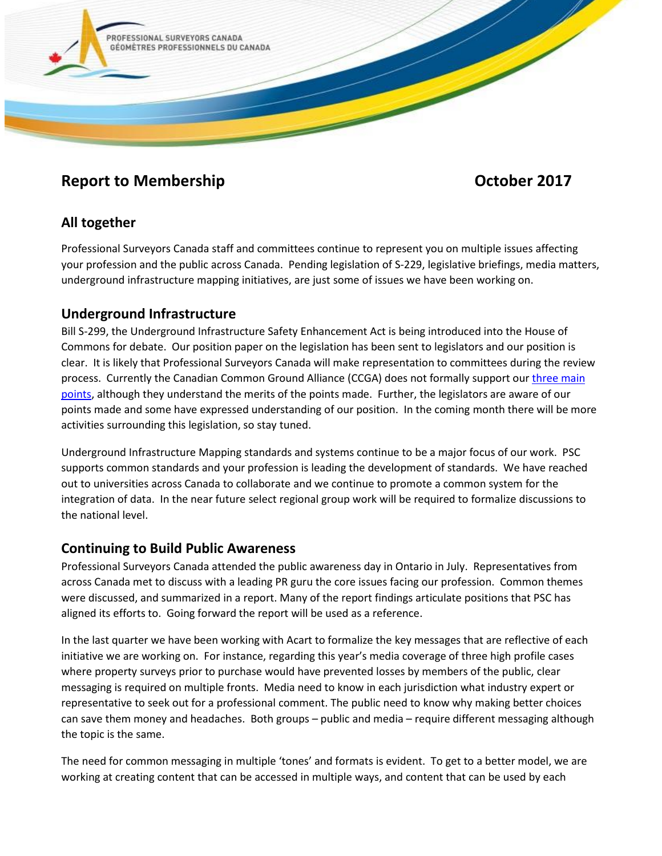

# **Report to Membership Contract Contract Contract Contract Contract Contract Contract Contract Contract Contract Contract Contract Contract Contract Contract Contract Contract Contract Contract Contract Contract Contract Co**

# **All together**

Professional Surveyors Canada staff and committees continue to represent you on multiple issues affecting your profession and the public across Canada. Pending legislation of S-229, legislative briefings, media matters, underground infrastructure mapping initiatives, are just some of issues we have been working on.

# **Underground Infrastructure**

Bill S-299, the Underground Infrastructure Safety Enhancement Act is being introduced into the House of Commons for debate. Our position paper on the legislation has been sent to legislators and our position is clear. It is likely that Professional Surveyors Canada will make representation to committees during the review process. Currently the Canadian Common Ground Alliance (CCGA) does not formally support our [three main](https://www.psc-gpc.ca/wp-content/uploads/2017/04/PSC-GPC-UISEA-S-229-Position-Paper-November-2016-Rev2.pdf)  [points,](https://www.psc-gpc.ca/wp-content/uploads/2017/04/PSC-GPC-UISEA-S-229-Position-Paper-November-2016-Rev2.pdf) although they understand the merits of the points made. Further, the legislators are aware of our points made and some have expressed understanding of our position. In the coming month there will be more activities surrounding this legislation, so stay tuned.

Underground Infrastructure Mapping standards and systems continue to be a major focus of our work. PSC supports common standards and your profession is leading the development of standards. We have reached out to universities across Canada to collaborate and we continue to promote a common system for the integration of data. In the near future select regional group work will be required to formalize discussions to the national level.

### **Continuing to Build Public Awareness**

Professional Surveyors Canada attended the public awareness day in Ontario in July. Representatives from across Canada met to discuss with a leading PR guru the core issues facing our profession. Common themes were discussed, and summarized in a report. Many of the report findings articulate positions that PSC has aligned its efforts to. Going forward the report will be used as a reference.

In the last quarter we have been working with Acart to formalize the key messages that are reflective of each initiative we are working on. For instance, regarding this year's media coverage of three high profile cases where property surveys prior to purchase would have prevented losses by members of the public, clear messaging is required on multiple fronts. Media need to know in each jurisdiction what industry expert or representative to seek out for a professional comment. The public need to know why making better choices can save them money and headaches. Both groups – public and media – require different messaging although the topic is the same.

The need for common messaging in multiple 'tones' and formats is evident. To get to a better model, we are working at creating content that can be accessed in multiple ways, and content that can be used by each